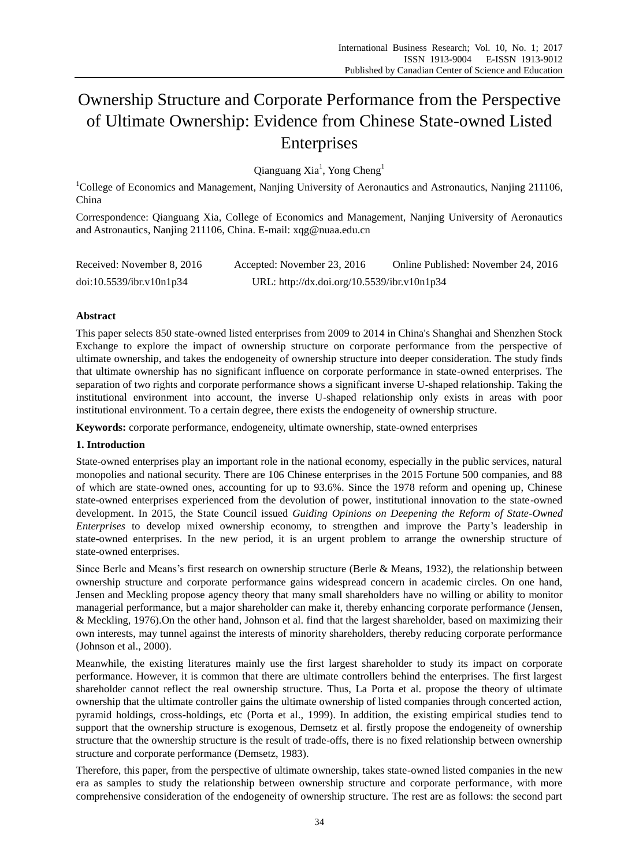# Ownership Structure and Corporate Performance from the Perspective of Ultimate Ownership: Evidence from Chinese State-owned Listed Enterprises

Qianguang Xia<sup>1</sup>, Yong Cheng<sup>1</sup>

<sup>1</sup>College of Economics and Management, Nanjing University of Aeronautics and Astronautics, Nanjing 211106, China

Correspondence: Qianguang Xia, College of Economics and Management, Nanjing University of Aeronautics and Astronautics, Nanjing 211106, China. E-mail: xqg@nuaa.edu.cn

| Received: November 8, 2016 | Accepted: November 23, 2016                 | Online Published: November 24, 2016 |
|----------------------------|---------------------------------------------|-------------------------------------|
| doi:10.5539/ibr.v10n1p34   | URL: http://dx.doi.org/10.5539/ibr.v10n1p34 |                                     |

# **Abstract**

This paper selects 850 state-owned listed enterprises from 2009 to 2014 in China's Shanghai and Shenzhen Stock Exchange to explore the impact of ownership structure on corporate performance from the perspective of ultimate ownership, and takes the endogeneity of ownership structure into deeper consideration. The study finds that ultimate ownership has no significant influence on corporate performance in state-owned enterprises. The separation of two rights and corporate performance shows a significant inverse U-shaped relationship. Taking the institutional environment into account, the inverse U-shaped relationship only exists in areas with poor institutional environment. To a certain degree, there exists the endogeneity of ownership structure.

**Keywords:** corporate performance, endogeneity, ultimate ownership, state-owned enterprises

# **1. Introduction**

State-owned enterprises play an important role in the national economy, especially in the public services, natural monopolies and national security. There are 106 Chinese enterprises in the 2015 Fortune 500 companies, and 88 of which are state-owned ones, accounting for up to 93.6%. Since the 1978 reform and opening up, Chinese state-owned enterprises experienced from the devolution of power, institutional innovation to the state-owned development. In 2015, the State Council issued *Guiding Opinions on Deepening the Reform of State-Owned Enterprises* to develop mixed ownership economy, to strengthen and improve the Party's leadership in state-owned enterprises. In the new period, it is an urgent problem to arrange the ownership structure of state-owned enterprises.

Since Berle and Means's first research on ownership structure (Berle & Means, 1932), the relationship between ownership structure and corporate performance gains widespread concern in academic circles. On one hand, Jensen and Meckling propose agency theory that many small shareholders have no willing or ability to monitor managerial performance, but a major shareholder can make it, thereby enhancing corporate performance (Jensen, & Meckling, 1976).On the other hand, Johnson et al. find that the largest shareholder, based on maximizing their own interests, may tunnel against the interests of minority shareholders, thereby reducing corporate performance (Johnson et al., 2000).

Meanwhile, the existing literatures mainly use the first largest shareholder to study its impact on corporate performance. However, it is common that there are ultimate controllers behind the enterprises. The first largest shareholder cannot reflect the real ownership structure. Thus, La Porta et al. propose the theory of ultimate ownership that the ultimate controller gains the ultimate ownership of listed companies through concerted action, pyramid holdings, cross-holdings, etc (Porta et al., 1999). In addition, the existing empirical studies tend to support that the ownership structure is exogenous, Demsetz et al. firstly propose the endogeneity of ownership structure that the ownership structure is the result of trade-offs, there is no fixed relationship between ownership structure and corporate performance (Demsetz, 1983).

Therefore, this paper, from the perspective of ultimate ownership, takes state-owned listed companies in the new era as samples to study the relationship between ownership structure and corporate performance, with more comprehensive consideration of the endogeneity of ownership structure. The rest are as follows: the second part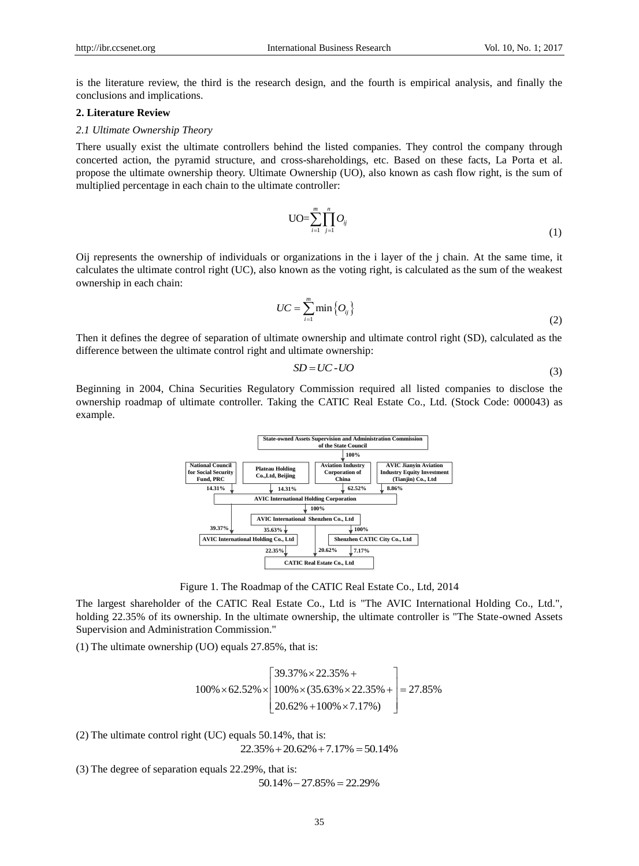is the literature review, the third is the research design, and the fourth is empirical analysis, and finally the conclusions and implications.

#### **2. Literature Review**

#### *2.1 Ultimate Ownership Theory*

There usually exist the ultimate controllers behind the listed companies. They control the company through concerted action, the pyramid structure, and cross-shareholdings, etc. Based on these facts, La Porta et al. propose the ultimate ownership theory. Ultimate Ownership (UO), also known as cash flow right, is the sum of multiplied percentage in each chain to the ultimate controller:

$$
UO = \sum_{i=1}^{m} \prod_{j=1}^{n} O_{ij}
$$
 (1)

Oij represents the ownership of individuals or organizations in the i layer of the j chain. At the same time, it calculates the ultimate control right (UC), also known as the voting right, is calculated as the sum of the weakest ownership in each chain:

$$
UC = \sum_{i=1}^{m} \min \left\{ O_{ij} \right\} \tag{2}
$$

Then it defines the degree of separation of ultimate ownership and ultimate control right (SD), calculated as the difference between the ultimate control right and ultimate ownership:

$$
SD = UC - UO \tag{3}
$$

Beginning in 2004, China Securities Regulatory Commission required all listed companies to disclose the ownership roadmap of ultimate controller. Taking the CATIC Real Estate Co., Ltd. (Stock Code: 000043) as example.



Figure 1. The Roadmap of the CATIC Real Estate Co., Ltd, 2014

The largest shareholder of the CATIC Real Estate Co., Ltd is "The AVIC International Holding Co., Ltd.", holding 22.35% of its ownership. In the ultimate ownership, the ultimate controller is "The State-owned Assets Supervision and Administration Commission."

(1) The ultimate ownership (UO) equals 27.85%, that is:

$$
100\% \times 62.52\% \times \left[ \frac{39.37\% \times 22.35\% +}{100\% \times (35.63\% \times 22.35\% +)} \right] = 27.85\%
$$
  
20.62% + 100% × 7.17%)

(2) The ultimate control right (UC) equals 50.14%, that is:

 $22.35\% + 20.62\% + 7.17\% = 50.14\%$ 

(3) The degree of separation equals 22.29%, that is:

$$
50.14\% - 27.85\% = 22.29\%
$$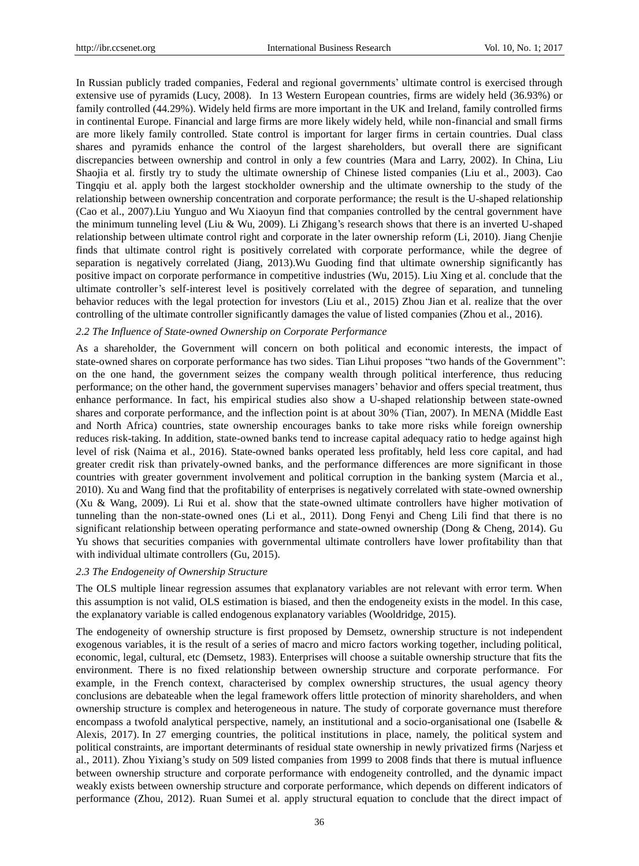In Russian publicly traded companies, Federal and regional governments' ultimate control is exercised through extensive use of pyramids (Lucy, 2008). In 13 Western European countries, firms are widely held (36.93%) or family controlled (44.29%). Widely held firms are more important in the UK and Ireland, family controlled firms in continental Europe. Financial and large firms are more likely widely held, while non-financial and small firms are more likely family controlled. State control is important for larger firms in certain countries. Dual class shares and pyramids enhance the control of the largest shareholders, but overall there are significant discrepancies between ownership and control in only a few countries (Mara and Larry, 2002). In China, Liu Shaojia et al. firstly try to study the ultimate ownership of Chinese listed companies (Liu et al., 2003). Cao Tingqiu et al. apply both the largest stockholder ownership and the ultimate ownership to the study of the relationship between ownership concentration and corporate performance; the result is the U-shaped relationship (Cao et al., 2007).Liu Yunguo and Wu Xiaoyun find that companies controlled by the central government have the minimum tunneling level (Liu & Wu, 2009). Li Zhigang's research shows that there is an inverted U-shaped relationship between ultimate control right and corporate in the later ownership reform (Li, 2010). Jiang Chenjie finds that ultimate control right is positively correlated with corporate performance, while the degree of separation is negatively correlated (Jiang, 2013).Wu Guoding find that ultimate ownership significantly has positive impact on corporate performance in competitive industries (Wu, 2015). Liu Xing et al. conclude that the ultimate controller's self-interest level is positively correlated with the degree of separation, and tunneling behavior reduces with the legal protection for investors (Liu et al., 2015) Zhou Jian et al. realize that the over controlling of the ultimate controller significantly damages the value of listed companies (Zhou et al., 2016).

#### *2.2 The Influence of State-owned Ownership on Corporate Performance*

As a shareholder, the Government will concern on both political and economic interests, the impact of state-owned shares on corporate performance has two sides. Tian Lihui proposes "two hands of the Government": on the one hand, the government seizes the company wealth through political interference, thus reducing performance; on the other hand, the government supervises managers' behavior and offers special treatment, thus enhance performance. In fact, his empirical studies also show a U-shaped relationship between state-owned shares and corporate performance, and the inflection point is at about 30% (Tian, 2007). In MENA (Middle East and North Africa) countries, state ownership encourages banks to take more risks while foreign ownership reduces risk-taking. In addition, state-owned banks tend to increase capital adequacy ratio to hedge against high level of risk (Naima et al., 2016). State-owned banks operated less profitably, held less core capital, and had greater credit risk than privately-owned banks, and the performance differences are more significant in those countries with greater government involvement and political corruption in the banking system (Marcia et al., 2010). Xu and Wang find that the profitability of enterprises is negatively correlated with state-owned ownership (Xu & Wang, 2009). Li Rui et al. show that the state-owned ultimate controllers have higher motivation of tunneling than the non-state-owned ones (Li et al., 2011). Dong Fenyi and Cheng Lili find that there is no significant relationship between operating performance and state-owned ownership (Dong & Cheng, 2014). Gu Yu shows that securities companies with governmental ultimate controllers have lower profitability than that with individual ultimate controllers (Gu, 2015).

#### *2.3 The Endogeneity of Ownership Structure*

The OLS multiple linear regression assumes that explanatory variables are not relevant with error term. When this assumption is not valid, OLS estimation is biased, and then the endogeneity exists in the model. In this case, the explanatory variable is called endogenous explanatory variables (Wooldridge, 2015).

The endogeneity of ownership structure is first proposed by Demsetz, ownership structure is not independent exogenous variables, it is the result of a series of macro and micro factors working together, including political, economic, legal, cultural, etc (Demsetz, 1983). Enterprises will choose a suitable ownership structure that fits the environment. There is no fixed relationship between ownership structure and corporate performance. For example, in the French context, characterised by complex ownership structures, the usual agency theory conclusions are debateable when the legal framework offers little protection of minority shareholders, and when ownership structure is complex and heterogeneous in nature. The study of corporate governance must therefore encompass a twofold analytical perspective, namely, an institutional and a socio-organisational one (Isabelle & Alexis, 2017). In 27 emerging countries, the political institutions in place, namely, the political system and political constraints, are important determinants of residual state ownership in newly privatized firms (Narjess et al., 2011). Zhou Yixiang's study on 509 listed companies from 1999 to 2008 finds that there is mutual influence between ownership structure and corporate performance with endogeneity controlled, and the dynamic impact weakly exists between ownership structure and corporate performance, which depends on different indicators of performance (Zhou, 2012). Ruan Sumei et al. apply structural equation to conclude that the direct impact of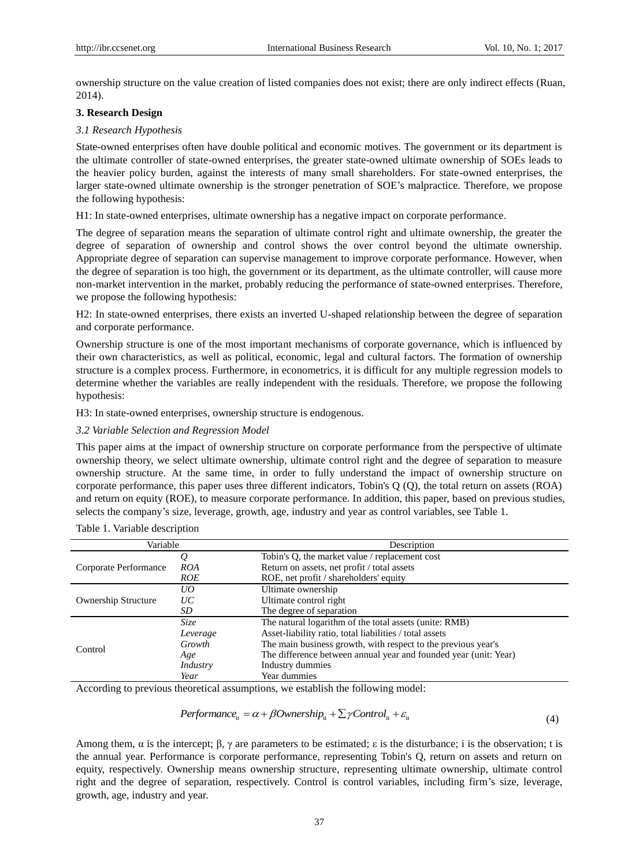ownership structure on the value creation of listed companies does not exist; there are only indirect effects (Ruan, 2014).

# **3. Research Design**

# *3.1 Research Hypothesis*

State-owned enterprises often have double political and economic motives. The government or its department is the ultimate controller of state-owned enterprises, the greater state-owned ultimate ownership of SOEs leads to the heavier policy burden, against the interests of many small shareholders. For state-owned enterprises, the larger state-owned ultimate ownership is the stronger penetration of SOE's malpractice. Therefore, we propose the following hypothesis:

H1: In state-owned enterprises, ultimate ownership has a negative impact on corporate performance.

The degree of separation means the separation of ultimate control right and ultimate ownership, the greater the degree of separation of ownership and control shows the over control beyond the ultimate ownership. Appropriate degree of separation can supervise management to improve corporate performance. However, when the degree of separation is too high, the government or its department, as the ultimate controller, will cause more non-market intervention in the market, probably reducing the performance of state-owned enterprises. Therefore, we propose the following hypothesis:

H2: In state-owned enterprises, there exists an inverted U-shaped relationship between the degree of separation and corporate performance.

Ownership structure is one of the most important mechanisms of corporate governance, which is influenced by their own characteristics, as well as political, economic, legal and cultural factors. The formation of ownership structure is a complex process. Furthermore, in econometrics, it is difficult for any multiple regression models to determine whether the variables are really independent with the residuals. Therefore, we propose the following hypothesis:

H3: In state-owned enterprises, ownership structure is endogenous.

# *3.2 Variable Selection and Regression Model*

This paper aims at the impact of ownership structure on corporate performance from the perspective of ultimate ownership theory, we select ultimate ownership, ultimate control right and the degree of separation to measure ownership structure. At the same time, in order to fully understand the impact of ownership structure on corporate performance, this paper uses three different indicators, Tobin's Q (Q), the total return on assets (ROA) and return on equity (ROE), to measure corporate performance. In addition, this paper, based on previous studies, selects the company's size, leverage, growth, age, industry and year as control variables, see Table 1.

|                            | Variable<br>Description |                                                                  |
|----------------------------|-------------------------|------------------------------------------------------------------|
|                            | $\varrho$               | Tobin's Q, the market value / replacement cost                   |
| Corporate Performance      | <i>ROA</i>              | Return on assets, net profit / total assets                      |
|                            | <b>ROE</b>              | ROE, net profit / shareholders' equity                           |
|                            | UO                      | Ultimate ownership                                               |
| <b>Ownership Structure</b> | $\overline{UC}$         | Ultimate control right                                           |
|                            | SD.                     | The degree of separation                                         |
|                            | <i>Size</i>             | The natural logarithm of the total assets (unite: RMB)           |
| Control                    | Leverage                | Asset-liability ratio, total liabilities / total assets          |
|                            | Growth                  | The main business growth, with respect to the previous year's    |
|                            | Age                     | The difference between annual year and founded year (unit: Year) |
|                            | Industry                | <b>Industry dummies</b>                                          |
|                            | Year                    | Year dummies                                                     |

Table 1. Variable description

According to previous theoretical assumptions, we establish the following model:<br>  $Performance_{i_t} = \alpha + \beta Ownership_{i_t} + \sum \gamma Control_{i_t} + \varepsilon_{i_t}$ 

$$
Performance_{it} = \alpha + \beta Ownership_{it} + \sum \gamma Control_{it} + \varepsilon_{it}
$$
\n(4)

Among them,  $\alpha$  is the intercept;  $\beta$ ,  $\gamma$  are parameters to be estimated;  $\varepsilon$  is the disturbance; i is the observation; t is the annual year. Performance is corporate performance, representing Tobin's Q, return on assets and return on equity, respectively. Ownership means ownership structure, representing ultimate ownership, ultimate control right and the degree of separation, respectively. Control is control variables, including firm's size, leverage, growth, age, industry and year.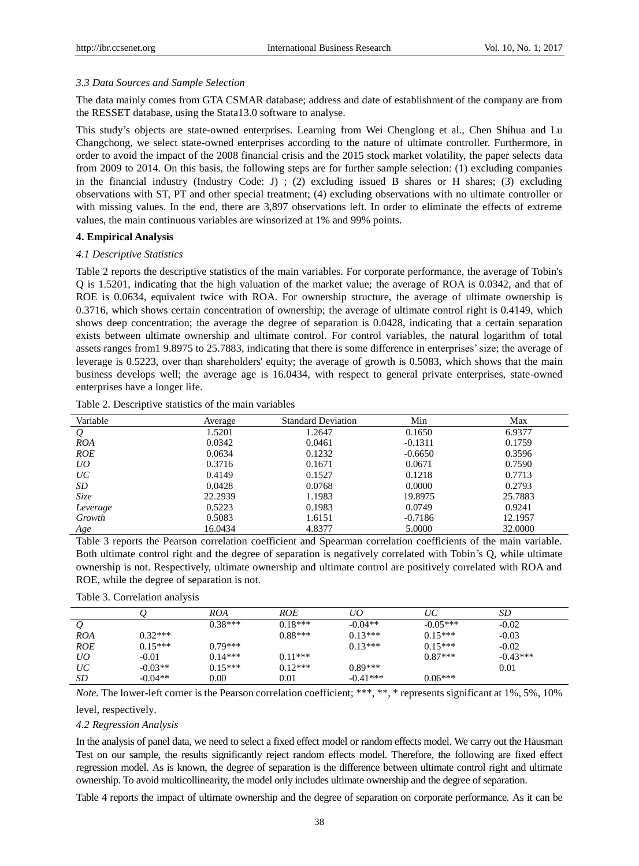#### *3.3 Data Sources and Sample Selection*

The data mainly comes from GTA CSMAR database; address and date of establishment of the company are from the RESSET database, using the Stata13.0 software to analyse.

This study's objects are state-owned enterprises. Learning from Wei Chenglong et al., Chen Shihua and Lu Changchong, we select state-owned enterprises according to the nature of ultimate controller. Furthermore, in order to avoid the impact of the 2008 financial crisis and the 2015 stock market volatility, the paper selects data from 2009 to 2014. On this basis, the following steps are for further sample selection: (1) excluding companies in the financial industry (Industry Code: J) ; (2) excluding issued B shares or H shares; (3) excluding observations with ST, PT and other special treatment; (4) excluding observations with no ultimate controller or with missing values. In the end, there are 3,897 observations left. In order to eliminate the effects of extreme values, the main continuous variables are winsorized at 1% and 99% points.

## **4. Empirical Analysis**

#### *4.1 Descriptive Statistics*

Table 2 reports the descriptive statistics of the main variables. For corporate performance, the average of Tobin's Q is 1.5201, indicating that the high valuation of the market value; the average of ROA is 0.0342, and that of ROE is 0.0634, equivalent twice with ROA. For ownership structure, the average of ultimate ownership is 0.3716, which shows certain concentration of ownership; the average of ultimate control right is 0.4149, which shows deep concentration; the average the degree of separation is 0.0428, indicating that a certain separation exists between ultimate ownership and ultimate control. For control variables, the natural logarithm of total assets ranges from1 9.8975 to 25.7883, indicating that there is some difference in enterprises' size; the average of leverage is 0.5223, over than shareholders' equity; the average of growth is 0.5083, which shows that the main business develops well; the average age is 16.0434, with respect to general private enterprises, state-owned enterprises have a longer life.

|  |  |  |  |  |  | Table 2. Descriptive statistics of the main variables |
|--|--|--|--|--|--|-------------------------------------------------------|
|--|--|--|--|--|--|-------------------------------------------------------|

| Variable   | Average | <b>Standard Deviation</b> | Min       | Max     |
|------------|---------|---------------------------|-----------|---------|
| $\varrho$  | 1.5201  | 1.2647                    | 0.1650    | 6.9377  |
| <b>ROA</b> | 0.0342  | 0.0461                    | $-0.1311$ | 0.1759  |
| <b>ROE</b> | 0.0634  | 0.1232                    | $-0.6650$ | 0.3596  |
| UO         | 0.3716  | 0.1671                    | 0.0671    | 0.7590  |
| UC         | 0.4149  | 0.1527                    | 0.1218    | 0.7713  |
| SD         | 0.0428  | 0.0768                    | 0.0000    | 0.2793  |
| Size       | 22.2939 | 1.1983                    | 19.8975   | 25.7883 |
| Leverage   | 0.5223  | 0.1983                    | 0.0749    | 0.9241  |
| Growth     | 0.5083  | 1.6151                    | $-0.7186$ | 12.1957 |
| Age        | 16.0434 | 4.8377                    | 5.0000    | 32.0000 |

Table 3 reports the Pearson correlation coefficient and Spearman correlation coefficients of the main variable. Both ultimate control right and the degree of separation is negatively correlated with Tobin's Q, while ultimate ownership is not. Respectively, ultimate ownership and ultimate control are positively correlated with ROA and ROE, while the degree of separation is not.

Table 3. Correlation analysis

|            |           | ROA       | ROE       | UO         | UC         | SD         |  |
|------------|-----------|-----------|-----------|------------|------------|------------|--|
| Q          |           | $0.38***$ | $0.18***$ | $-0.04**$  | $-0.05***$ | $-0.02$    |  |
| <i>ROA</i> | $0.32***$ |           | $0.88***$ | $0.13***$  | $0.15***$  | $-0.03$    |  |
| <b>ROE</b> | $0.15***$ | $0.79***$ |           | $0.13***$  | $0.15***$  | $-0.02$    |  |
| UO         | $-0.01$   | $0.14***$ | $0.11***$ |            | $0.87***$  | $-0.43***$ |  |
| UC         | $-0.03**$ | $0.15***$ | $0.12***$ | $0.89***$  |            | 0.01       |  |
| <i>SD</i>  | $-0.04**$ | 0.00      | 0.01      | $-0.41***$ | $0.06***$  |            |  |

*Note.* The lower-left corner is the Pearson correlation coefficient; \*\*\*, \*\*, \* represents significant at 1%, 5%, 10%

# level, respectively.

## *4.2 Regression Analysis*

In the analysis of panel data, we need to select a fixed effect model or random effects model. We carry out the Hausman Test on our sample, the results significantly reject random effects model. Therefore, the following are fixed effect regression model. As is known, the degree of separation is the difference between ultimate control right and ultimate ownership. To avoid multicollinearity, the model only includes ultimate ownership and the degree of separation.

Table 4 reports the impact of ultimate ownership and the degree of separation on corporate performance. As it can be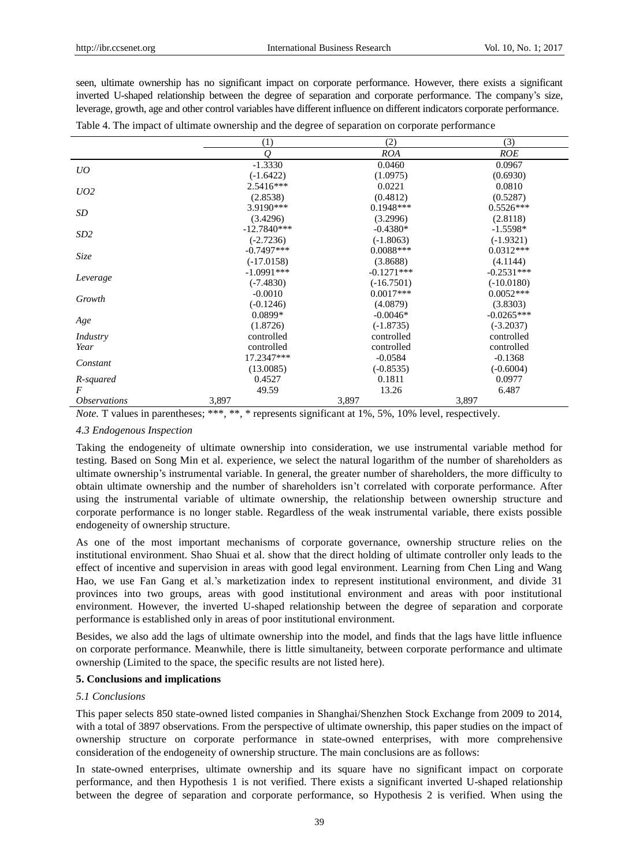seen, ultimate ownership has no significant impact on corporate performance. However, there exists a significant inverted U-shaped relationship between the degree of separation and corporate performance. The company's size, leverage, growth, age and other control variables have different influence on different indicators corporate performance.

Table 4. The impact of ultimate ownership and the degree of separation on corporate performance

|                            | (1)            | (2)          | (3)          |
|----------------------------|----------------|--------------|--------------|
|                            | $\overline{O}$ | <b>ROA</b>   | <b>ROE</b>   |
| UO                         | $-1.3330$      | 0.0460       | 0.0967       |
|                            | $(-1.6422)$    | (1.0975)     | (0.6930)     |
| UO2                        | 2.5416***      | 0.0221       | 0.0810       |
|                            | (2.8538)       | (0.4812)     | (0.5287)     |
| SD                         | 3.9190***      | $0.1948***$  | $0.5526***$  |
|                            | (3.4296)       | (3.2996)     | (2.8118)     |
| SD <sub>2</sub>            | $-12.7840***$  | $-0.4380*$   | $-1.5598*$   |
|                            | $(-2.7236)$    | $(-1.8063)$  | $(-1.9321)$  |
| Size                       | $-0.7497***$   | $0.0088***$  | $0.0312***$  |
|                            | $(-17.0158)$   | (3.8688)     | (4.1144)     |
|                            | $-1.0991***$   | $-0.1271***$ | $-0.2531***$ |
| Leverage                   | $(-7.4830)$    | $(-16.7501)$ | $(-10.0180)$ |
| Growth                     | $-0.0010$      | $0.0017***$  | $0.0052***$  |
|                            | $(-0.1246)$    | (4.0879)     | (3.8303)     |
|                            | $0.0899*$      | $-0.0046*$   | $-0.0265***$ |
| Age                        | (1.8726)       | $(-1.8735)$  | $(-3.2037)$  |
| Industry                   | controlled     | controlled   | controlled   |
| Year                       | controlled     | controlled   | controlled   |
| Constant                   | 17.2347***     | $-0.0584$    | $-0.1368$    |
|                            | (13.0085)      | $(-0.8535)$  | $(-0.6004)$  |
| R-squared                  | 0.4527         | 0.1811       | 0.0977       |
| F                          | 49.59          | 13.26        | 6.487        |
| <i><b>Observations</b></i> | 3,897          | 3,897        | 3,897        |

*Note.* T values in parentheses; \*\*\*, \*\*, \* represents significant at 1%, 5%, 10% level, respectively.

# *4.3 Endogenous Inspection*

Taking the endogeneity of ultimate ownership into consideration, we use instrumental variable method for testing. Based on Song Min et al. experience, we select the natural logarithm of the number of shareholders as ultimate ownership's instrumental variable. In general, the greater number of shareholders, the more difficulty to obtain ultimate ownership and the number of shareholders isn't correlated with corporate performance. After using the instrumental variable of ultimate ownership, the relationship between ownership structure and corporate performance is no longer stable. Regardless of the weak instrumental variable, there exists possible endogeneity of ownership structure.

As one of the most important mechanisms of corporate governance, ownership structure relies on the institutional environment. Shao Shuai et al. show that the direct holding of ultimate controller only leads to the effect of incentive and supervision in areas with good legal environment. Learning from Chen Ling and Wang Hao, we use Fan Gang et al.'s marketization index to represent institutional environment, and divide 31 provinces into two groups, areas with good institutional environment and areas with poor institutional environment. However, the inverted U-shaped relationship between the degree of separation and corporate performance is established only in areas of poor institutional environment.

Besides, we also add the lags of ultimate ownership into the model, and finds that the lags have little influence on corporate performance. Meanwhile, there is little simultaneity, between corporate performance and ultimate ownership (Limited to the space, the specific results are not listed here).

# **5. Conclusions and implications**

## *5.1 Conclusions*

This paper selects 850 state-owned listed companies in Shanghai/Shenzhen Stock Exchange from 2009 to 2014, with a total of 3897 observations. From the perspective of ultimate ownership, this paper studies on the impact of ownership structure on corporate performance in state-owned enterprises, with more comprehensive consideration of the endogeneity of ownership structure. The main conclusions are as follows:

In state-owned enterprises, ultimate ownership and its square have no significant impact on corporate performance, and then Hypothesis 1 is not verified. There exists a significant inverted U-shaped relationship between the degree of separation and corporate performance, so Hypothesis 2 is verified. When using the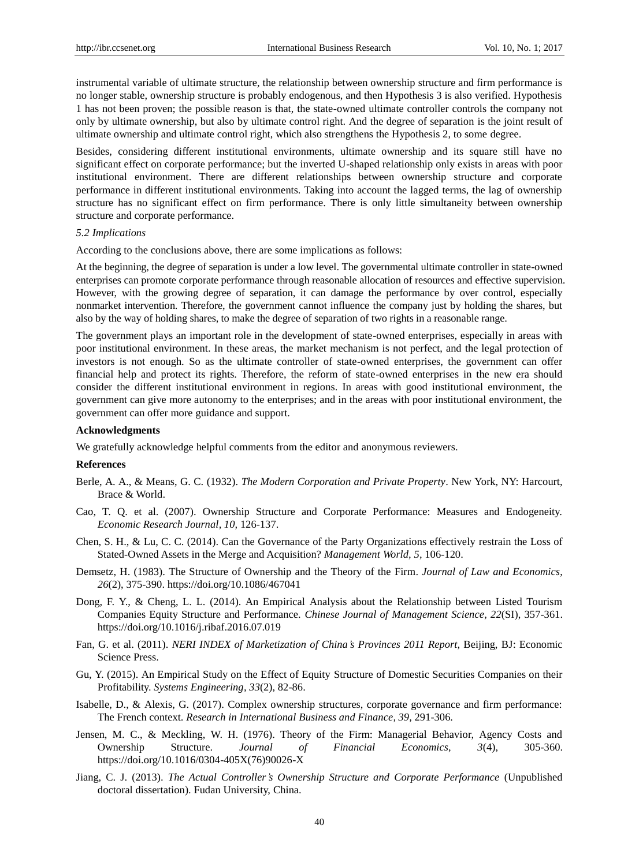instrumental variable of ultimate structure, the relationship between ownership structure and firm performance is no longer stable, ownership structure is probably endogenous, and then Hypothesis 3 is also verified. Hypothesis 1 has not been proven; the possible reason is that, the state-owned ultimate controller controls the company not only by ultimate ownership, but also by ultimate control right. And the degree of separation is the joint result of ultimate ownership and ultimate control right, which also strengthens the Hypothesis 2, to some degree.

Besides, considering different institutional environments, ultimate ownership and its square still have no significant effect on corporate performance; but the inverted U-shaped relationship only exists in areas with poor institutional environment. There are different relationships between ownership structure and corporate performance in different institutional environments. Taking into account the lagged terms, the lag of ownership structure has no significant effect on firm performance. There is only little simultaneity between ownership structure and corporate performance.

#### *5.2 Implications*

According to the conclusions above, there are some implications as follows:

At the beginning, the degree of separation is under a low level. The governmental ultimate controller in state-owned enterprises can promote corporate performance through reasonable allocation of resources and effective supervision. However, with the growing degree of separation, it can damage the performance by over control, especially nonmarket intervention. Therefore, the government cannot influence the company just by holding the shares, but also by the way of holding shares, to make the degree of separation of two rights in a reasonable range.

The government plays an important role in the development of state-owned enterprises, especially in areas with poor institutional environment. In these areas, the market mechanism is not perfect, and the legal protection of investors is not enough. So as the ultimate controller of state-owned enterprises, the government can offer financial help and protect its rights. Therefore, the reform of state-owned enterprises in the new era should consider the different institutional environment in regions. In areas with good institutional environment, the government can give more autonomy to the enterprises; and in the areas with poor institutional environment, the government can offer more guidance and support.

#### **Acknowledgments**

We gratefully acknowledge helpful comments from the editor and anonymous reviewers.

#### **References**

- Berle, A. A., & Means, G. C. (1932). *The Modern Corporation and Private Property*. New York, NY: Harcourt, Brace & World.
- Cao, T. Q. et al. (2007). Ownership Structure and Corporate Performance: Measures and Endogeneity. *Economic Research Journal, 10,* 126-137.
- Chen, S. H., & Lu, C. C. (2014). Can the Governance of the Party Organizations effectively restrain the Loss of Stated-Owned Assets in the Merge and Acquisition? *Management World, 5,* 106-120.
- Demsetz, H. (1983). The Structure of Ownership and the Theory of the Firm. *Journal of Law and Economics*, *26*(2), 375-390. <https://doi.org/10.1086/467041>
- Dong, F. Y., & Cheng, L. L. (2014). An Empirical Analysis about the Relationship between Listed Tourism Companies Equity Structure and Performance. *Chinese Journal of Management Science, 22*(SI), 357-361. <https://doi.org/10.1016/j.ribaf.2016.07.019>
- Fan, G. et al. (2011). *NERI INDEX of Marketization of China's Provinces 2011 Report*, Beijing, BJ: Economic Science Press.
- Gu, Y. (2015). An Empirical Study on the Effect of Equity Structure of Domestic Securities Companies on their Profitability. *Systems Engineering, 33*(2), 82-86.
- Isabelle, D., & Alexis, G. (2017). Complex ownership structures, corporate governance and firm performance: The French context. *Research in International Business and Finance, 39,* 291-306.
- Jensen, M. C., & Meckling, W. H. (1976). Theory of the Firm: Managerial Behavior, Agency Costs and Ownership Structure. *Journal of Financial Economics, 3*(4), 305-360. [https://doi.org/10.1016/0304-405X\(76\)90026-X](https://doi.org/10.1016/0304-405X%2876%2990026-X)
- Jiang, C. J. (2013). *The Actual Controller's Ownership Structure and Corporate Performance* (Unpublished doctoral dissertation). Fudan University, China.